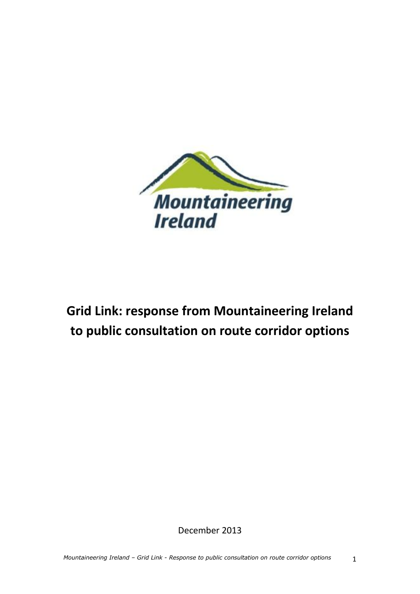

# **Grid Link: response from Mountaineering Ireland to public consultation on route corridor options**

December 2013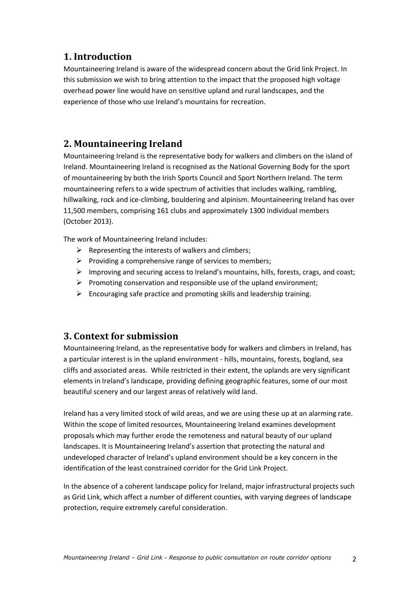## **1. Introduction**

Mountaineering Ireland is aware of the widespread concern about the Grid link Project. In this submission we wish to bring attention to the impact that the proposed high voltage overhead power line would have on sensitive upland and rural landscapes, and the experience of those who use Ireland's mountains for recreation.

# **2. Mountaineering Ireland**

Mountaineering Ireland is the representative body for walkers and climbers on the island of Ireland. Mountaineering Ireland is recognised as the National Governing Body for the sport of mountaineering by both the Irish Sports Council and Sport Northern Ireland. The term mountaineering refers to a wide spectrum of activities that includes walking, rambling, hillwalking, rock and ice-climbing, bouldering and alpinism. Mountaineering Ireland has over 11,500 members, comprising 161 clubs and approximately 1300 individual members (October 2013).

The work of Mountaineering Ireland includes:

- $\triangleright$  Representing the interests of walkers and climbers;
- $\triangleright$  Providing a comprehensive range of services to members;
- $\triangleright$  Improving and securing access to Ireland's mountains, hills, forests, crags, and coast;
- $\triangleright$  Promoting conservation and responsible use of the upland environment;
- $\triangleright$  Encouraging safe practice and promoting skills and leadership training.

### **3. Context for submission**

Mountaineering Ireland, as the representative body for walkers and climbers in Ireland, has a particular interest is in the upland environment - hills, mountains, forests, bogland, sea cliffs and associated areas. While restricted in their extent, the uplands are very significant elements in Ireland's landscape, providing defining geographic features, some of our most beautiful scenery and our largest areas of relatively wild land.

Ireland has a very limited stock of wild areas, and we are using these up at an alarming rate. Within the scope of limited resources, Mountaineering Ireland examines development proposals which may further erode the remoteness and natural beauty of our upland landscapes. It is Mountaineering Ireland's assertion that protecting the natural and undeveloped character of Ireland's upland environment should be a key concern in the identification of the least constrained corridor for the Grid Link Project.

In the absence of a coherent landscape policy for Ireland, major infrastructural projects such as Grid Link, which affect a number of different counties, with varying degrees of landscape protection, require extremely careful consideration.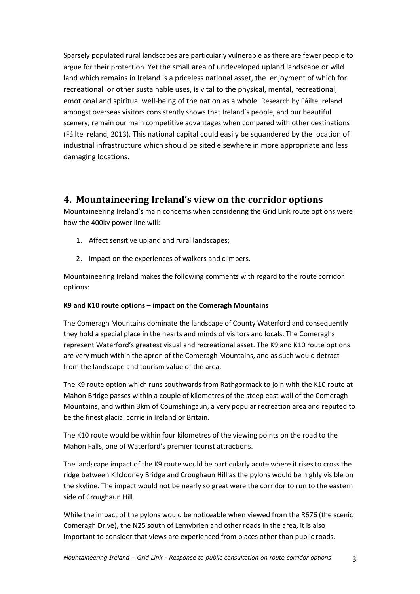Sparsely populated rural landscapes are particularly vulnerable as there are fewer people to argue for their protection. Yet the small area of undeveloped upland landscape or wild land which remains in Ireland is a priceless national asset, the enjoyment of which for recreational or other sustainable uses, is vital to the physical, mental, recreational, emotional and spiritual well-being of the nation as a whole. Research by Fáilte Ireland amongst overseas visitors consistently shows that Ireland's people, and our beautiful scenery, remain our main competitive advantages when compared with other destinations (Fáilte Ireland, 2013). This national capital could easily be squandered by the location of industrial infrastructure which should be sited elsewhere in more appropriate and less damaging locations.

### **4. Mountaineering Ireland's view on the corridor options**

Mountaineering Ireland's main concerns when considering the Grid Link route options were how the 400kv power line will:

- 1. Affect sensitive upland and rural landscapes;
- 2. Impact on the experiences of walkers and climbers.

Mountaineering Ireland makes the following comments with regard to the route corridor options:

#### **K9 and K10 route options – impact on the Comeragh Mountains**

The Comeragh Mountains dominate the landscape of County Waterford and consequently they hold a special place in the hearts and minds of visitors and locals. The Comeraghs represent Waterford's greatest visual and recreational asset. The K9 and K10 route options are very much within the apron of the Comeragh Mountains, and as such would detract from the landscape and tourism value of the area.

The K9 route option which runs southwards from Rathgormack to join with the K10 route at Mahon Bridge passes within a couple of kilometres of the steep east wall of the Comeragh Mountains, and within 3km of Coumshingaun, a very popular recreation area and reputed to be the finest glacial corrie in Ireland or Britain.

The K10 route would be within four kilometres of the viewing points on the road to the Mahon Falls, one of Waterford's premier tourist attractions.

The landscape impact of the K9 route would be particularly acute where it rises to cross the ridge between Kilclooney Bridge and Croughaun Hill as the pylons would be highly visible on the skyline. The impact would not be nearly so great were the corridor to run to the eastern side of Croughaun Hill.

While the impact of the pylons would be noticeable when viewed from the R676 (the scenic Comeragh Drive), the N25 south of Lemybrien and other roads in the area, it is also important to consider that views are experienced from places other than public roads.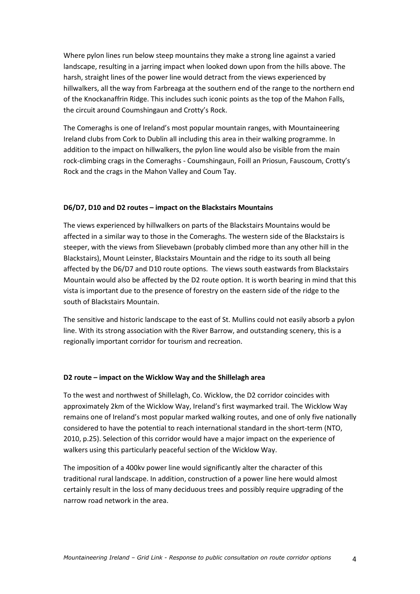Where pylon lines run below steep mountains they make a strong line against a varied landscape, resulting in a jarring impact when looked down upon from the hills above. The harsh, straight lines of the power line would detract from the views experienced by hillwalkers, all the way from Farbreaga at the southern end of the range to the northern end of the Knockanaffrin Ridge. This includes such iconic points as the top of the Mahon Falls, the circuit around Coumshingaun and Crotty's Rock.

The Comeraghs is one of Ireland's most popular mountain ranges, with Mountaineering Ireland clubs from Cork to Dublin all including this area in their walking programme. In addition to the impact on hillwalkers, the pylon line would also be visible from the main rock-climbing crags in the Comeraghs - Coumshingaun, Foill an Priosun, Fauscoum, Crotty's Rock and the crags in the Mahon Valley and Coum Tay.

#### **D6/D7, D10 and D2 routes – impact on the Blackstairs Mountains**

The views experienced by hillwalkers on parts of the Blackstairs Mountains would be affected in a similar way to those in the Comeraghs. The western side of the Blackstairs is steeper, with the views from Slievebawn (probably climbed more than any other hill in the Blackstairs), Mount Leinster, Blackstairs Mountain and the ridge to its south all being affected by the D6/D7 and D10 route options. The views south eastwards from Blackstairs Mountain would also be affected by the D2 route option. It is worth bearing in mind that this vista is important due to the presence of forestry on the eastern side of the ridge to the south of Blackstairs Mountain.

The sensitive and historic landscape to the east of St. Mullins could not easily absorb a pylon line. With its strong association with the River Barrow, and outstanding scenery, this is a regionally important corridor for tourism and recreation.

#### **D2 route – impact on the Wicklow Way and the Shillelagh area**

To the west and northwest of Shillelagh, Co. Wicklow, the D2 corridor coincides with approximately 2km of the Wicklow Way, Ireland's first waymarked trail. The Wicklow Way remains one of Ireland's most popular marked walking routes, and one of only five nationally considered to have the potential to reach international standard in the short-term (NTO, 2010, p.25). Selection of this corridor would have a major impact on the experience of walkers using this particularly peaceful section of the Wicklow Way.

The imposition of a 400kv power line would significantly alter the character of this traditional rural landscape. In addition, construction of a power line here would almost certainly result in the loss of many deciduous trees and possibly require upgrading of the narrow road network in the area.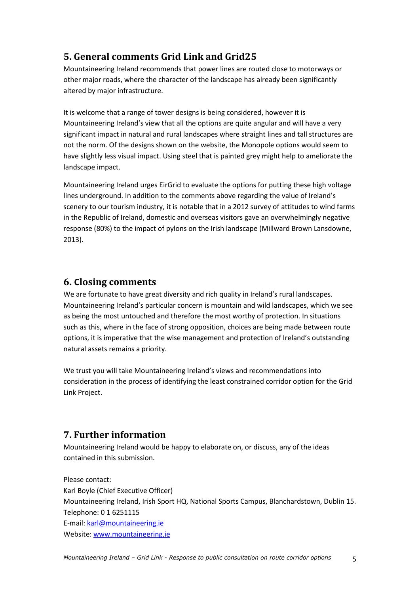# **5. General comments Grid Link and Grid25**

Mountaineering Ireland recommends that power lines are routed close to motorways or other major roads, where the character of the landscape has already been significantly altered by major infrastructure.

It is welcome that a range of tower designs is being considered, however it is Mountaineering Ireland's view that all the options are quite angular and will have a very significant impact in natural and rural landscapes where straight lines and tall structures are not the norm. Of the designs shown on the website, the Monopole options would seem to have slightly less visual impact. Using steel that is painted grey might help to ameliorate the landscape impact.

Mountaineering Ireland urges EirGrid to evaluate the options for putting these high voltage lines underground. In addition to the comments above regarding the value of Ireland's scenery to our tourism industry, it is notable that in a 2012 survey of attitudes to wind farms in the Republic of Ireland, domestic and overseas visitors gave an overwhelmingly negative response (80%) to the impact of pylons on the Irish landscape (Millward Brown Lansdowne, 2013).

### **6. Closing comments**

We are fortunate to have great diversity and rich quality in Ireland's rural landscapes. Mountaineering Ireland's particular concern is mountain and wild landscapes, which we see as being the most untouched and therefore the most worthy of protection. In situations such as this, where in the face of strong opposition, choices are being made between route options, it is imperative that the wise management and protection of Ireland's outstanding natural assets remains a priority.

We trust you will take Mountaineering Ireland's views and recommendations into consideration in the process of identifying the least constrained corridor option for the Grid Link Project.

## **7. Further information**

Mountaineering Ireland would be happy to elaborate on, or discuss, any of the ideas contained in this submission.

Please contact: Karl Boyle (Chief Executive Officer) Mountaineering Ireland, Irish Sport HQ, National Sports Campus, Blanchardstown, Dublin 15. Telephone: 0 1 6251115 E-mail: [karl@mountaineering.ie](mailto:karl@mountaineering.ie) Website[: www.mountaineering.ie](http://www.mountaineering.ie/)